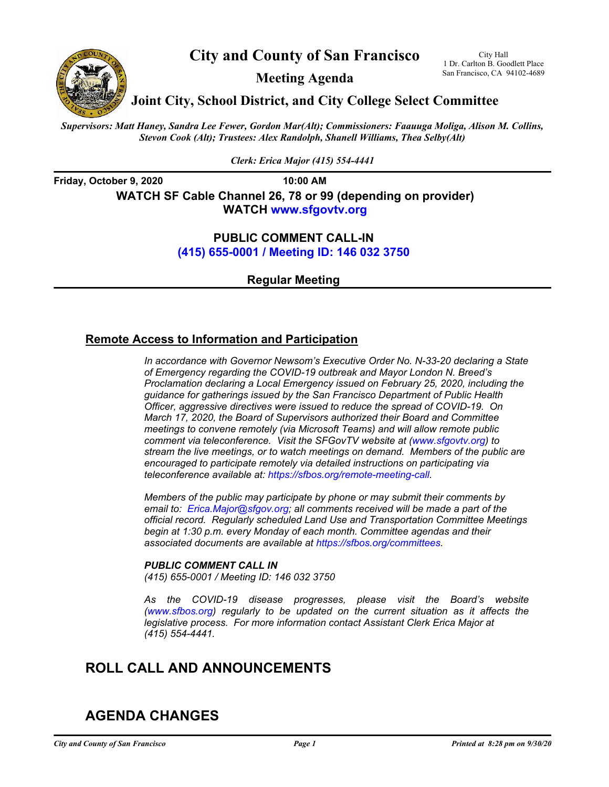

**City and County of San Francisco**

**Meeting Agenda**

City Hall 1 Dr. Carlton B. Goodlett Place San Francisco, CA 94102-4689

**Joint City, School District, and City College Select Committee**

*Supervisors: Matt Haney, Sandra Lee Fewer, Gordon Mar(Alt); Commissioners: Faauuga Moliga, Alison M. Collins, Stevon Cook (Alt); Trustees: Alex Randolph, Shanell Williams, Thea Selby(Alt)*

*Clerk: Erica Major (415) 554-4441*

**Friday, October 9, 2020 10:00 AM WATCH SF Cable Channel 26, 78 or 99 (depending on provider) WATC[H www.sfgovtv.org](www.sfgovtv.org)**

> **PUBLIC COMMENT CALL-IN [\(415\) 655-0001 / Meeting ID: 146 032 3750](tel:+14156550001,,1460323750#,,#)**

> > **Regular Meeting**

## **Remote Access to Information and Participation**

*In accordance with Governor Newsom's Executive Order No. N-33-20 declaring a State of Emergency regarding the COVID-19 outbreak and Mayor London N. Breed's Proclamation declaring a Local Emergency issued on February 25, 2020, including the guidance for gatherings issued by the San Francisco Department of Public Health Officer, aggressive directives were issued to reduce the spread of COVID-19. On March 17, 2020, the Board of Supervisors authorized their Board and Committee meetings to convene remotely (via Microsoft Teams) and will allow remote public comment via teleconference. Visit the SFGovTV website a[t \(www.sfgovtv.org\) t](www.sfgovtv.org)o stream the live meetings, or to watch meetings on demand. Members of the public are encouraged to participate remotely via detailed instructions on participating via teleconference available at[: https://sfbos.org/remote-meeting-call.](https://sfbos.org/remote-meeting-call)* 

*Members of the public may participate by phone or may submit their comments by email to: [Erica.Major@sfgov.org; a](mailto:Erica.Major@sfgov.org)ll comments received will be made a part of the official record. Regularly scheduled Land Use and Transportation Committee Meetings begin at 1:30 p.m. every Monday of each month. Committee agendas and their associated documents are available a[t https://sfbos.org/committees.](https://sfbos.org/committees)* 

## *PUBLIC COMMENT CALL IN*

*[\(415\) 655-0001 / Meeting ID: 146 032 3750](tel:+14156550001,,1460323750#,,#)*

*As the COVID-19 disease progresses, please visit the [Board's website](www.sfbos.org)  (www.sfbos.org) regularly to be updated on the current situation as it affects the legislative process. For more information contact Assistant Clerk Erica Major at (415) 554-4441.*

# **ROLL CALL AND ANNOUNCEMENTS**

# **AGENDA CHANGES**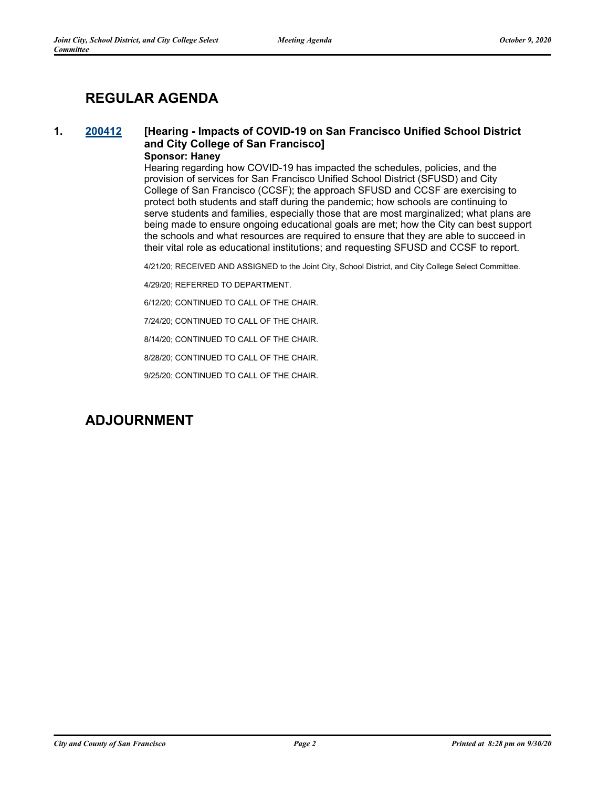# **REGULAR AGENDA**

## **1. [200412](http://sfgov.legistar.com/gateway.aspx?m=l&id=35848) [Hearing - Impacts of COVID-19 on San Francisco Unified School District and City College of San Francisco] Sponsor: Haney**

Hearing regarding how COVID-19 has impacted the schedules, policies, and the provision of services for San Francisco Unified School District (SFUSD) and City College of San Francisco (CCSF); the approach SFUSD and CCSF are exercising to protect both students and staff during the pandemic; how schools are continuing to serve students and families, especially those that are most marginalized; what plans are being made to ensure ongoing educational goals are met; how the City can best support the schools and what resources are required to ensure that they are able to succeed in their vital role as educational institutions; and requesting SFUSD and CCSF to report.

4/21/20; RECEIVED AND ASSIGNED to the Joint City, School District, and City College Select Committee.

4/29/20; REFERRED TO DEPARTMENT.

6/12/20; CONTINUED TO CALL OF THE CHAIR.

7/24/20; CONTINUED TO CALL OF THE CHAIR.

8/14/20; CONTINUED TO CALL OF THE CHAIR.

8/28/20; CONTINUED TO CALL OF THE CHAIR.

9/25/20; CONTINUED TO CALL OF THE CHAIR.

## **ADJOURNMENT**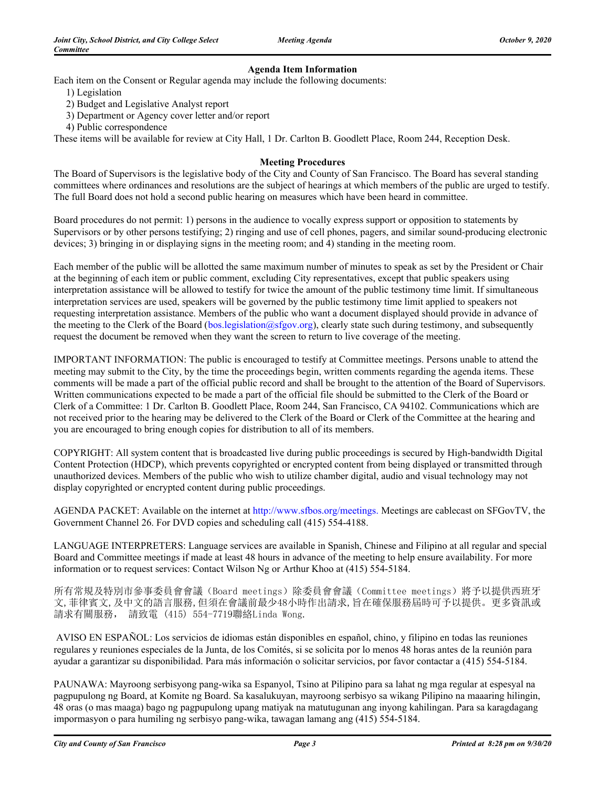## **Agenda Item Information**

Each item on the Consent or Regular agenda may include the following documents:

- 1) Legislation
- 2) Budget and Legislative Analyst report
- 3) Department or Agency cover letter and/or report
- 4) Public correspondence

These items will be available for review at City Hall, 1 Dr. Carlton B. Goodlett Place, Room 244, Reception Desk.

### **Meeting Procedures**

The Board of Supervisors is the legislative body of the City and County of San Francisco. The Board has several standing committees where ordinances and resolutions are the subject of hearings at which members of the public are urged to testify. The full Board does not hold a second public hearing on measures which have been heard in committee.

Board procedures do not permit: 1) persons in the audience to vocally express support or opposition to statements by Supervisors or by other persons testifying; 2) ringing and use of cell phones, pagers, and similar sound-producing electronic devices; 3) bringing in or displaying signs in the meeting room; and 4) standing in the meeting room.

Each member of the public will be allotted the same maximum number of minutes to speak as set by the President or Chair at the beginning of each item or public comment, excluding City representatives, except that public speakers using interpretation assistance will be allowed to testify for twice the amount of the public testimony time limit. If simultaneous interpretation services are used, speakers will be governed by the public testimony time limit applied to speakers not requesting interpretation assistance. Members of the public who want a document displayed should provide in advance of the meeting to the Clerk of the Board (bos.legislation@sfgov.org), clearly state such during testimony, and subsequently request the document be removed when they want the screen to return to live coverage of the meeting.

IMPORTANT INFORMATION: The public is encouraged to testify at Committee meetings. Persons unable to attend the meeting may submit to the City, by the time the proceedings begin, written comments regarding the agenda items. These comments will be made a part of the official public record and shall be brought to the attention of the Board of Supervisors. Written communications expected to be made a part of the official file should be submitted to the Clerk of the Board or Clerk of a Committee: 1 Dr. Carlton B. Goodlett Place, Room 244, San Francisco, CA 94102. Communications which are not received prior to the hearing may be delivered to the Clerk of the Board or Clerk of the Committee at the hearing and you are encouraged to bring enough copies for distribution to all of its members.

COPYRIGHT: All system content that is broadcasted live during public proceedings is secured by High-bandwidth Digital Content Protection (HDCP), which prevents copyrighted or encrypted content from being displayed or transmitted through unauthorized devices. Members of the public who wish to utilize chamber digital, audio and visual technology may not display copyrighted or encrypted content during public proceedings.

AGENDA PACKET: Available on the internet at http://www.sfbos.org/meetings. Meetings are cablecast on SFGovTV, the Government Channel 26. For DVD copies and scheduling call (415) 554-4188.

LANGUAGE INTERPRETERS: Language services are available in Spanish, Chinese and Filipino at all regular and special Board and Committee meetings if made at least 48 hours in advance of the meeting to help ensure availability. For more information or to request services: Contact Wilson Ng or Arthur Khoo at (415) 554-5184.

所有常規及特別市參事委員會會議(Board meetings)除委員會會議(Committee meetings)將予以提供西班牙 文,菲律賓文,及中文的語言服務,但須在會議前最少48小時作出請求,旨在確保服務屆時可予以提供。更多資訊或 請求有關服務, 請致電 (415) 554-7719聯絡Linda Wong.

 AVISO EN ESPAÑOL: Los servicios de idiomas están disponibles en español, chino, y filipino en todas las reuniones regulares y reuniones especiales de la Junta, de los Comités, si se solicita por lo menos 48 horas antes de la reunión para ayudar a garantizar su disponibilidad. Para más información o solicitar servicios, por favor contactar a (415) 554-5184.

PAUNAWA: Mayroong serbisyong pang-wika sa Espanyol, Tsino at Pilipino para sa lahat ng mga regular at espesyal na pagpupulong ng Board, at Komite ng Board. Sa kasalukuyan, mayroong serbisyo sa wikang Pilipino na maaaring hilingin, 48 oras (o mas maaga) bago ng pagpupulong upang matiyak na matutugunan ang inyong kahilingan. Para sa karagdagang impormasyon o para humiling ng serbisyo pang-wika, tawagan lamang ang (415) 554-5184.